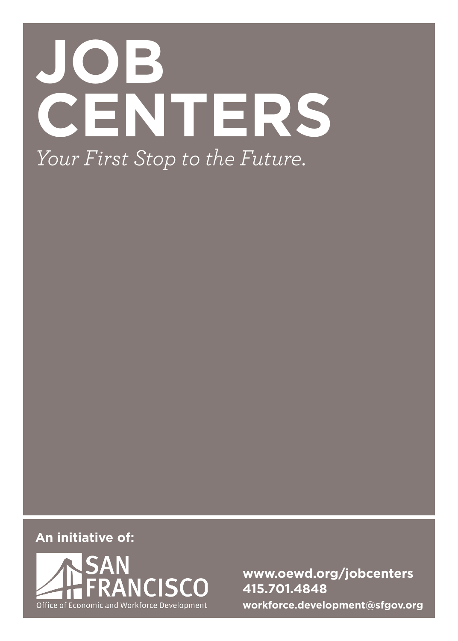# **JOB CENTERS** *Your First Stop to the Future.*

**An initiative of:**



**www.oewd.org/jobcenters 415.701.4848 workforce.development@sfgov.org**